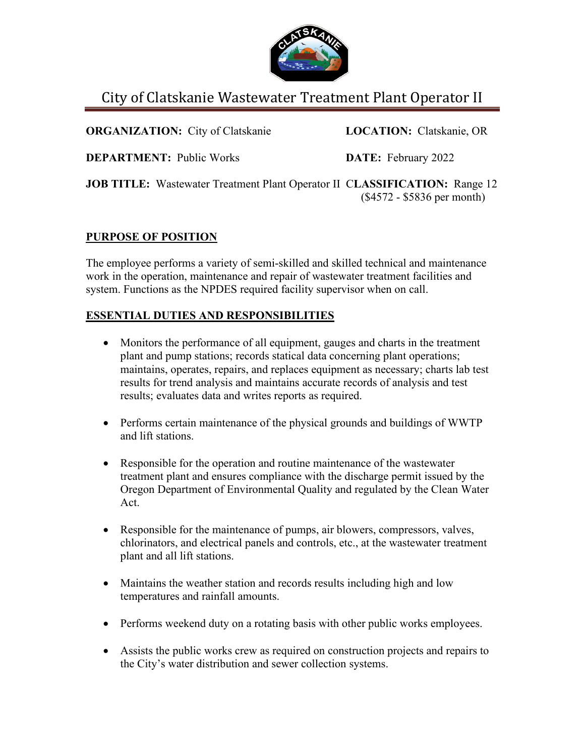

# City of Clatskanie Wastewater Treatment Plant Operator II

**ORGANIZATION:** City of Clatskanie **LOCATION:** Clatskanie, OR

**DEPARTMENT:** Public Works **DATE:** February 2022

**JOB TITLE:** Wastewater Treatment Plant Operator II C**LASSIFICATION:** Range 12 (\$4572 - \$5836 per month)

# **PURPOSE OF POSITION**

The employee performs a variety of semi-skilled and skilled technical and maintenance work in the operation, maintenance and repair of wastewater treatment facilities and system. Functions as the NPDES required facility supervisor when on call.

# **ESSENTIAL DUTIES AND RESPONSIBILITIES**

- Monitors the performance of all equipment, gauges and charts in the treatment plant and pump stations; records statical data concerning plant operations; maintains, operates, repairs, and replaces equipment as necessary; charts lab test results for trend analysis and maintains accurate records of analysis and test results; evaluates data and writes reports as required.
- Performs certain maintenance of the physical grounds and buildings of WWTP and lift stations.
- Responsible for the operation and routine maintenance of the wastewater treatment plant and ensures compliance with the discharge permit issued by the Oregon Department of Environmental Quality and regulated by the Clean Water Act.
- Responsible for the maintenance of pumps, air blowers, compressors, valves, chlorinators, and electrical panels and controls, etc., at the wastewater treatment plant and all lift stations.
- Maintains the weather station and records results including high and low temperatures and rainfall amounts.
- Performs weekend duty on a rotating basis with other public works employees.
- Assists the public works crew as required on construction projects and repairs to the City's water distribution and sewer collection systems.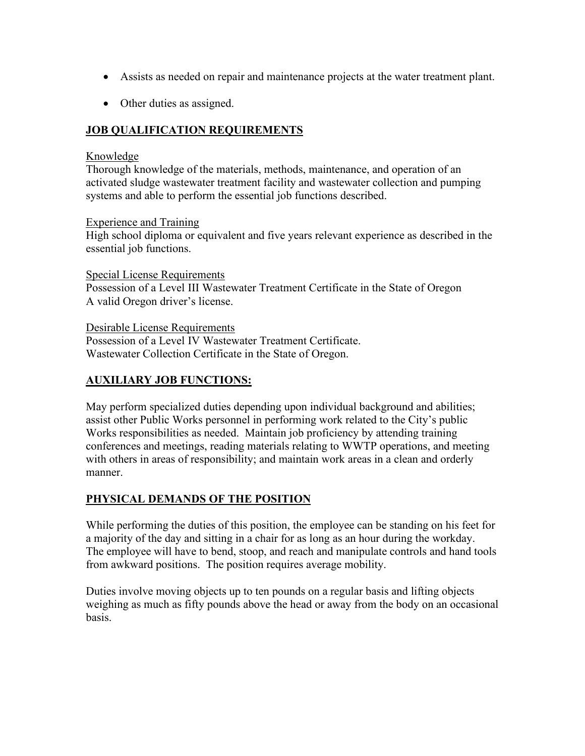- Assists as needed on repair and maintenance projects at the water treatment plant.
- Other duties as assigned.

# **JOB QUALIFICATION REQUIREMENTS**

#### Knowledge

Thorough knowledge of the materials, methods, maintenance, and operation of an activated sludge wastewater treatment facility and wastewater collection and pumping systems and able to perform the essential job functions described.

#### Experience and Training

High school diploma or equivalent and five years relevant experience as described in the essential job functions.

Special License Requirements Possession of a Level III Wastewater Treatment Certificate in the State of Oregon A valid Oregon driver's license.

Desirable License Requirements

Possession of a Level IV Wastewater Treatment Certificate. Wastewater Collection Certificate in the State of Oregon.

## **AUXILIARY JOB FUNCTIONS:**

May perform specialized duties depending upon individual background and abilities; assist other Public Works personnel in performing work related to the City's public Works responsibilities as needed. Maintain job proficiency by attending training conferences and meetings, reading materials relating to WWTP operations, and meeting with others in areas of responsibility; and maintain work areas in a clean and orderly manner.

## **PHYSICAL DEMANDS OF THE POSITION**

While performing the duties of this position, the employee can be standing on his feet for a majority of the day and sitting in a chair for as long as an hour during the workday. The employee will have to bend, stoop, and reach and manipulate controls and hand tools from awkward positions. The position requires average mobility.

Duties involve moving objects up to ten pounds on a regular basis and lifting objects weighing as much as fifty pounds above the head or away from the body on an occasional basis.